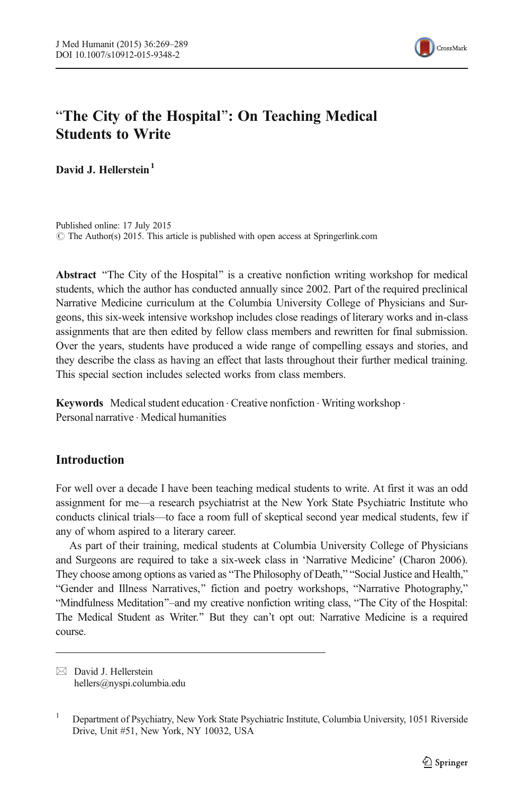

# "The City of the Hospital": On Teaching Medical Students to Write

David J. Hellerstein<sup>1</sup>

Published online: 17 July 2015  $\circ$  The Author(s) 2015. This article is published with open access at Springerlink.com

Abstract "The City of the Hospital" is a creative nonfiction writing workshop for medical students, which the author has conducted annually since 2002. Part of the required preclinical Narrative Medicine curriculum at the Columbia University College of Physicians and Surgeons, this six-week intensive workshop includes close readings of literary works and in-class assignments that are then edited by fellow class members and rewritten for final submission. Over the years, students have produced a wide range of compelling essays and stories, and they describe the class as having an effect that lasts throughout their further medical training. This special section includes selected works from class members.

Keywords Medical student education . Creative nonfiction . Writing workshop . Personal narrative . Medical humanities

# **Introduction**

For well over a decade I have been teaching medical students to write. At first it was an odd assignment for me—a research psychiatrist at the New York State Psychiatric Institute who conducts clinical trials—to face a room full of skeptical second year medical students, few if any of whom aspired to a literary career.

As part of their training, medical students at Columbia University College of Physicians and Surgeons are required to take a six-week class in 'Narrative Medicine' (Charon 2006). They choose among options as varied as "The Philosophy of Death," "Social Justice and Health," "Gender and Illness Narratives," fiction and poetry workshops, "Narrative Photography," "Mindfulness Meditation"-and my creative nonfiction writing class, "The City of the Hospital: The Medical Student as Writer.^ But they can't opt out: Narrative Medicine is a required course.

 $\boxtimes$  David J. Hellerstein hellers@nyspi.columbia.edu

<sup>1</sup> Department of Psychiatry, New York State Psychiatric Institute, Columbia University, 1051 Riverside Drive, Unit #51, New York, NY 10032, USA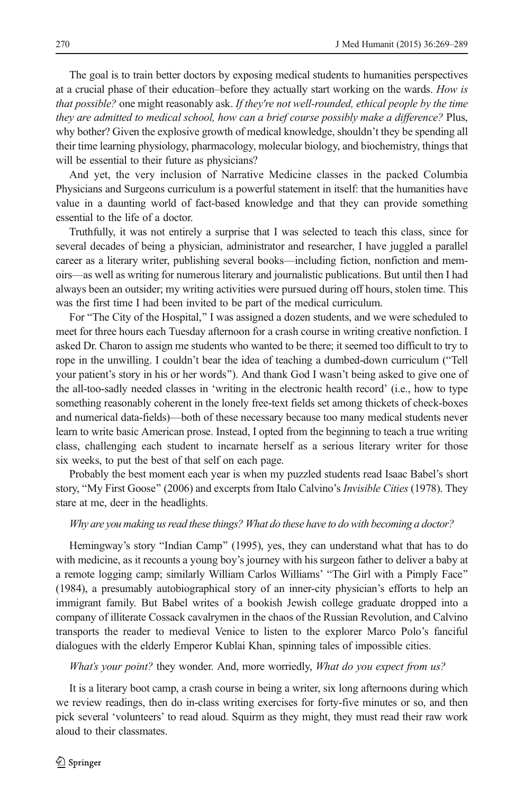The goal is to train better doctors by exposing medical students to humanities perspectives at a crucial phase of their education–before they actually start working on the wards. How is that possible? one might reasonably ask. If they're not well-rounded, ethical people by the time they are admitted to medical school, how can a brief course possibly make a difference? Plus, why bother? Given the explosive growth of medical knowledge, shouldn't they be spending all their time learning physiology, pharmacology, molecular biology, and biochemistry, things that will be essential to their future as physicians?

And yet, the very inclusion of Narrative Medicine classes in the packed Columbia Physicians and Surgeons curriculum is a powerful statement in itself: that the humanities have value in a daunting world of fact-based knowledge and that they can provide something essential to the life of a doctor.

Truthfully, it was not entirely a surprise that I was selected to teach this class, since for several decades of being a physician, administrator and researcher, I have juggled a parallel career as a literary writer, publishing several books—including fiction, nonfiction and memoirs—as well as writing for numerous literary and journalistic publications. But until then I had always been an outsider; my writing activities were pursued during off hours, stolen time. This was the first time I had been invited to be part of the medical curriculum.

For "The City of the Hospital," I was assigned a dozen students, and we were scheduled to meet for three hours each Tuesday afternoon for a crash course in writing creative nonfiction. I asked Dr. Charon to assign me students who wanted to be there; it seemed too difficult to try to rope in the unwilling. I couldn't bear the idea of teaching a dumbed-down curriculum ("Tell your patient's story in his or her words"). And thank God I wasn't being asked to give one of the all-too-sadly needed classes in 'writing in the electronic health record' (i.e., how to type something reasonably coherent in the lonely free-text fields set among thickets of check-boxes and numerical data-fields)—both of these necessary because too many medical students never learn to write basic American prose. Instead, I opted from the beginning to teach a true writing class, challenging each student to incarnate herself as a serious literary writer for those six weeks, to put the best of that self on each page.

Probably the best moment each year is when my puzzled students read Isaac Babel's short story, "My First Goose" (2006) and excerpts from Italo Calvino's Invisible Cities (1978). They stare at me, deer in the headlights.

#### Why are you making us read these things? What do these have to do with becoming a doctor?

Hemingway's story "Indian Camp" (1995), yes, they can understand what that has to do with medicine, as it recounts a young boy's journey with his surgeon father to deliver a baby at a remote logging camp; similarly William Carlos Williams' "The Girl with a Pimply Face" (1984), a presumably autobiographical story of an inner-city physician's efforts to help an immigrant family. But Babel writes of a bookish Jewish college graduate dropped into a company of illiterate Cossack cavalrymen in the chaos of the Russian Revolution, and Calvino transports the reader to medieval Venice to listen to the explorer Marco Polo's fanciful dialogues with the elderly Emperor Kublai Khan, spinning tales of impossible cities.

What's your point? they wonder. And, more worriedly, What do you expect from us?

It is a literary boot camp, a crash course in being a writer, six long afternoons during which we review readings, then do in-class writing exercises for forty-five minutes or so, and then pick several 'volunteers' to read aloud. Squirm as they might, they must read their raw work aloud to their classmates.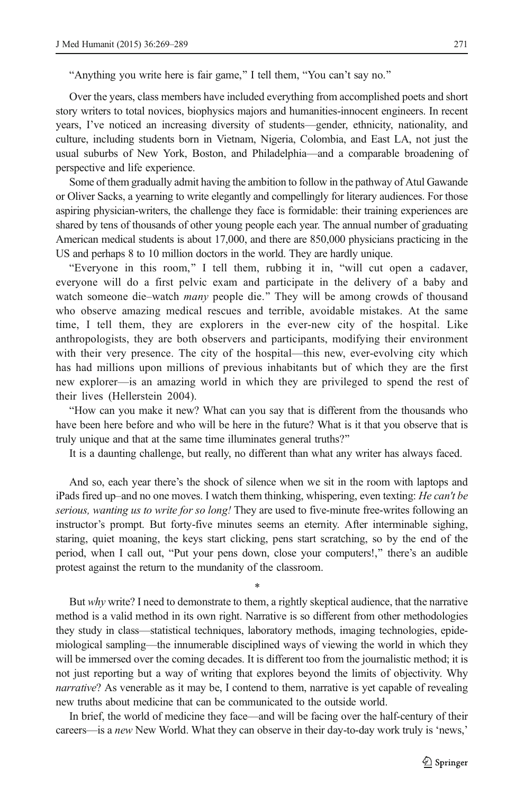"Anything you write here is fair game," I tell them, "You can't say no."

Over the years, class members have included everything from accomplished poets and short story writers to total novices, biophysics majors and humanities-innocent engineers. In recent years, I've noticed an increasing diversity of students—gender, ethnicity, nationality, and culture, including students born in Vietnam, Nigeria, Colombia, and East LA, not just the usual suburbs of New York, Boston, and Philadelphia—and a comparable broadening of perspective and life experience.

Some of them gradually admit having the ambition to follow in the pathway of Atul Gawande or Oliver Sacks, a yearning to write elegantly and compellingly for literary audiences. For those aspiring physician-writers, the challenge they face is formidable: their training experiences are shared by tens of thousands of other young people each year. The annual number of graduating American medical students is about 17,000, and there are 850,000 physicians practicing in the US and perhaps 8 to 10 million doctors in the world. They are hardly unique.

"Everyone in this room," I tell them, rubbing it in, "will cut open a cadaver, everyone will do a first pelvic exam and participate in the delivery of a baby and watch someone die–watch many people die." They will be among crowds of thousand who observe amazing medical rescues and terrible, avoidable mistakes. At the same time, I tell them, they are explorers in the ever-new city of the hospital. Like anthropologists, they are both observers and participants, modifying their environment with their very presence. The city of the hospital—this new, ever-evolving city which has had millions upon millions of previous inhabitants but of which they are the first new explorer—is an amazing world in which they are privileged to spend the rest of their lives (Hellerstein 2004).

"How can you make it new? What can you say that is different from the thousands who have been here before and who will be here in the future? What is it that you observe that is truly unique and that at the same time illuminates general truths?"

It is a daunting challenge, but really, no different than what any writer has always faced.

And so, each year there's the shock of silence when we sit in the room with laptops and iPads fired up–and no one moves. I watch them thinking, whispering, even texting: He can't be serious, wanting us to write for so long! They are used to five-minute free-writes following an instructor's prompt. But forty-five minutes seems an eternity. After interminable sighing, staring, quiet moaning, the keys start clicking, pens start scratching, so by the end of the period, when I call out, "Put your pens down, close your computers!," there's an audible protest against the return to the mundanity of the classroom.

But why write? I need to demonstrate to them, a rightly skeptical audience, that the narrative method is a valid method in its own right. Narrative is so different from other methodologies they study in class—statistical techniques, laboratory methods, imaging technologies, epidemiological sampling—the innumerable disciplined ways of viewing the world in which they will be immersed over the coming decades. It is different too from the journalistic method; it is not just reporting but a way of writing that explores beyond the limits of objectivity. Why narrative? As venerable as it may be, I contend to them, narrative is yet capable of revealing new truths about medicine that can be communicated to the outside world.

\*

In brief, the world of medicine they face—and will be facing over the half-century of their careers—is a new New World. What they can observe in their day-to-day work truly is 'news,'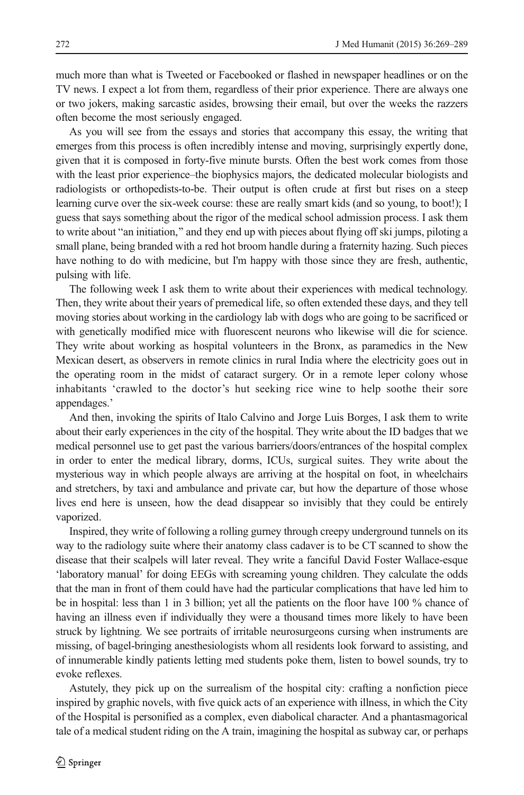much more than what is Tweeted or Facebooked or flashed in newspaper headlines or on the TV news. I expect a lot from them, regardless of their prior experience. There are always one or two jokers, making sarcastic asides, browsing their email, but over the weeks the razzers often become the most seriously engaged.

As you will see from the essays and stories that accompany this essay, the writing that emerges from this process is often incredibly intense and moving, surprisingly expertly done, given that it is composed in forty-five minute bursts. Often the best work comes from those with the least prior experience–the biophysics majors, the dedicated molecular biologists and radiologists or orthopedists-to-be. Their output is often crude at first but rises on a steep learning curve over the six-week course: these are really smart kids (and so young, to boot!); I guess that says something about the rigor of the medical school admission process. I ask them to write about "an initiation," and they end up with pieces about flying off ski jumps, piloting a small plane, being branded with a red hot broom handle during a fraternity hazing. Such pieces have nothing to do with medicine, but I'm happy with those since they are fresh, authentic, pulsing with life.

The following week I ask them to write about their experiences with medical technology. Then, they write about their years of premedical life, so often extended these days, and they tell moving stories about working in the cardiology lab with dogs who are going to be sacrificed or with genetically modified mice with fluorescent neurons who likewise will die for science. They write about working as hospital volunteers in the Bronx, as paramedics in the New Mexican desert, as observers in remote clinics in rural India where the electricity goes out in the operating room in the midst of cataract surgery. Or in a remote leper colony whose inhabitants 'crawled to the doctor's hut seeking rice wine to help soothe their sore appendages.'

And then, invoking the spirits of Italo Calvino and Jorge Luis Borges, I ask them to write about their early experiences in the city of the hospital. They write about the ID badges that we medical personnel use to get past the various barriers/doors/entrances of the hospital complex in order to enter the medical library, dorms, ICUs, surgical suites. They write about the mysterious way in which people always are arriving at the hospital on foot, in wheelchairs and stretchers, by taxi and ambulance and private car, but how the departure of those whose lives end here is unseen, how the dead disappear so invisibly that they could be entirely vaporized.

Inspired, they write of following a rolling gurney through creepy underground tunnels on its way to the radiology suite where their anatomy class cadaver is to be CT scanned to show the disease that their scalpels will later reveal. They write a fanciful David Foster Wallace-esque 'laboratory manual' for doing EEGs with screaming young children. They calculate the odds that the man in front of them could have had the particular complications that have led him to be in hospital: less than 1 in 3 billion; yet all the patients on the floor have 100 % chance of having an illness even if individually they were a thousand times more likely to have been struck by lightning. We see portraits of irritable neurosurgeons cursing when instruments are missing, of bagel-bringing anesthesiologists whom all residents look forward to assisting, and of innumerable kindly patients letting med students poke them, listen to bowel sounds, try to evoke reflexes.

Astutely, they pick up on the surrealism of the hospital city: crafting a nonfiction piece inspired by graphic novels, with five quick acts of an experience with illness, in which the City of the Hospital is personified as a complex, even diabolical character. And a phantasmagorical tale of a medical student riding on the A train, imagining the hospital as subway car, or perhaps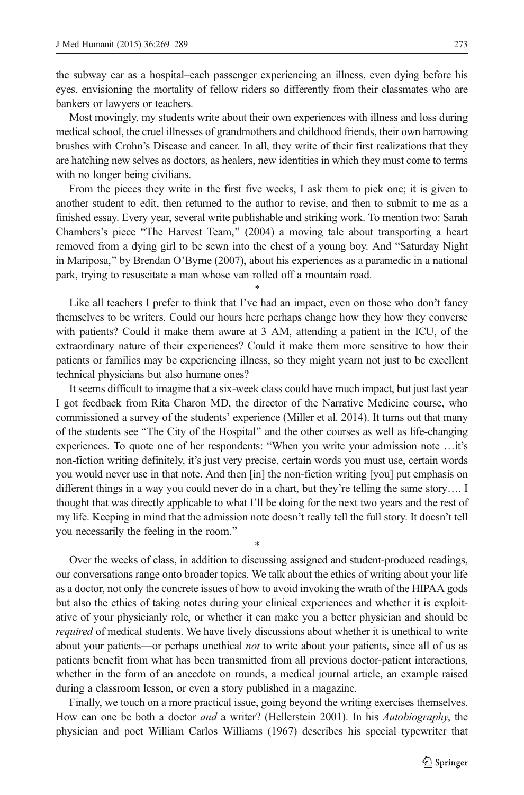the subway car as a hospital–each passenger experiencing an illness, even dying before his eyes, envisioning the mortality of fellow riders so differently from their classmates who are bankers or lawyers or teachers.

Most movingly, my students write about their own experiences with illness and loss during medical school, the cruel illnesses of grandmothers and childhood friends, their own harrowing brushes with Crohn's Disease and cancer. In all, they write of their first realizations that they are hatching new selves as doctors, as healers, new identities in which they must come to terms with no longer being civilians.

From the pieces they write in the first five weeks, I ask them to pick one; it is given to another student to edit, then returned to the author to revise, and then to submit to me as a finished essay. Every year, several write publishable and striking work. To mention two: Sarah Chambers's piece "The Harvest Team," (2004) a moving tale about transporting a heart removed from a dying girl to be sewn into the chest of a young boy. And "Saturday Night" in Mariposa," by Brendan O'Byrne (2007), about his experiences as a paramedic in a national park, trying to resuscitate a man whose van rolled off a mountain road.

Like all teachers I prefer to think that I've had an impact, even on those who don't fancy themselves to be writers. Could our hours here perhaps change how they how they converse with patients? Could it make them aware at 3 AM, attending a patient in the ICU, of the extraordinary nature of their experiences? Could it make them more sensitive to how their patients or families may be experiencing illness, so they might yearn not just to be excellent technical physicians but also humane ones?

\*

It seems difficult to imagine that a six-week class could have much impact, but just last year I got feedback from Rita Charon MD, the director of the Narrative Medicine course, who commissioned a survey of the students' experience (Miller et al. 2014). It turns out that many of the students see "The City of the Hospital" and the other courses as well as life-changing experiences. To quote one of her respondents: "When you write your admission note ... it's non-fiction writing definitely, it's just very precise, certain words you must use, certain words you would never use in that note. And then [in] the non-fiction writing [you] put emphasis on different things in a way you could never do in a chart, but they're telling the same story…. I thought that was directly applicable to what I'll be doing for the next two years and the rest of my life. Keeping in mind that the admission note doesn't really tell the full story. It doesn't tell you necessarily the feeling in the room."

Over the weeks of class, in addition to discussing assigned and student-produced readings, our conversations range onto broader topics. We talk about the ethics of writing about your life as a doctor, not only the concrete issues of how to avoid invoking the wrath of the HIPAA gods but also the ethics of taking notes during your clinical experiences and whether it is exploitative of your physicianly role, or whether it can make you a better physician and should be required of medical students. We have lively discussions about whether it is unethical to write about your patients—or perhaps unethical *not* to write about your patients, since all of us as patients benefit from what has been transmitted from all previous doctor-patient interactions, whether in the form of an anecdote on rounds, a medical journal article, an example raised during a classroom lesson, or even a story published in a magazine.

\*

Finally, we touch on a more practical issue, going beyond the writing exercises themselves. How can one be both a doctor *and* a writer? (Hellerstein 2001). In his *Autobiography*, the physician and poet William Carlos Williams (1967) describes his special typewriter that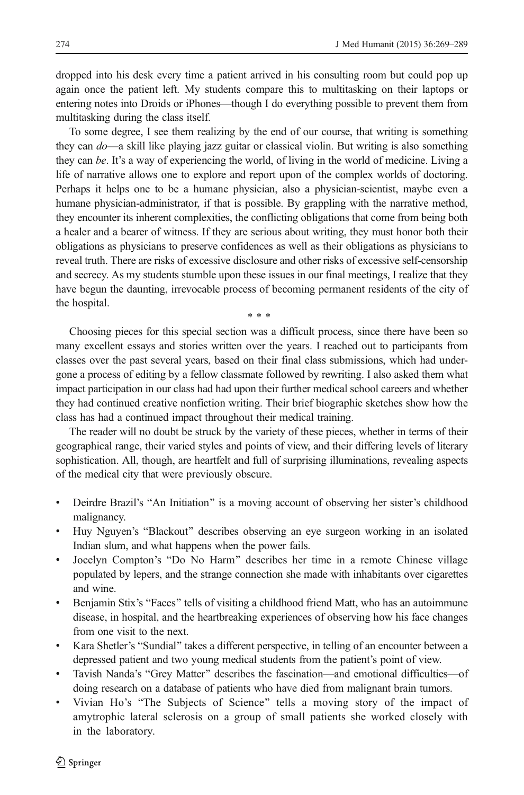dropped into his desk every time a patient arrived in his consulting room but could pop up again once the patient left. My students compare this to multitasking on their laptops or entering notes into Droids or iPhones—though I do everything possible to prevent them from multitasking during the class itself.

To some degree, I see them realizing by the end of our course, that writing is something they can do—a skill like playing jazz guitar or classical violin. But writing is also something they can be. It's a way of experiencing the world, of living in the world of medicine. Living a life of narrative allows one to explore and report upon of the complex worlds of doctoring. Perhaps it helps one to be a humane physician, also a physician-scientist, maybe even a humane physician-administrator, if that is possible. By grappling with the narrative method, they encounter its inherent complexities, the conflicting obligations that come from being both a healer and a bearer of witness. If they are serious about writing, they must honor both their obligations as physicians to preserve confidences as well as their obligations as physicians to reveal truth. There are risks of excessive disclosure and other risks of excessive self-censorship and secrecy. As my students stumble upon these issues in our final meetings, I realize that they have begun the daunting, irrevocable process of becoming permanent residents of the city of the hospital.

\*\*\*

Choosing pieces for this special section was a difficult process, since there have been so many excellent essays and stories written over the years. I reached out to participants from classes over the past several years, based on their final class submissions, which had undergone a process of editing by a fellow classmate followed by rewriting. I also asked them what impact participation in our class had had upon their further medical school careers and whether they had continued creative nonfiction writing. Their brief biographic sketches show how the class has had a continued impact throughout their medical training.

The reader will no doubt be struck by the variety of these pieces, whether in terms of their geographical range, their varied styles and points of view, and their differing levels of literary sophistication. All, though, are heartfelt and full of surprising illuminations, revealing aspects of the medical city that were previously obscure.

- Deirdre Brazil's "An Initiation" is a moving account of observing her sister's childhood malignancy.
- Huy Nguyen's "Blackout" describes observing an eye surgeon working in an isolated Indian slum, and what happens when the power fails.
- Jocelyn Compton's "Do No Harm" describes her time in a remote Chinese village populated by lepers, and the strange connection she made with inhabitants over cigarettes and wine.
- Benjamin Stix's "Faces" tells of visiting a childhood friend Matt, who has an autoimmune disease, in hospital, and the heartbreaking experiences of observing how his face changes from one visit to the next.
- Kara Shetler's "Sundial" takes a different perspective, in telling of an encounter between a depressed patient and two young medical students from the patient's point of view.
- Tavish Nanda's "Grey Matter" describes the fascination—and emotional difficulties—of doing research on a database of patients who have died from malignant brain tumors.
- Vivian Ho's "The Subjects of Science" tells a moving story of the impact of amytrophic lateral sclerosis on a group of small patients she worked closely with in the laboratory.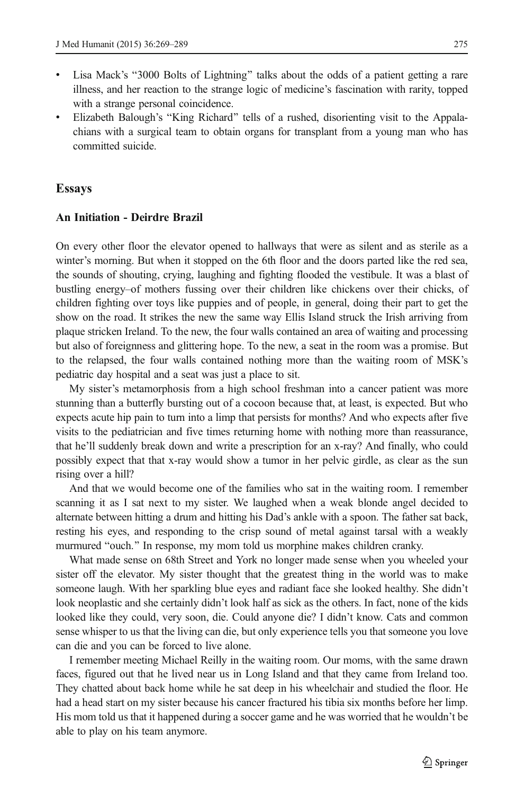- Lisa Mack's "3000 Bolts of Lightning" talks about the odds of a patient getting a rare illness, and her reaction to the strange logic of medicine's fascination with rarity, topped with a strange personal coincidence.
- Elizabeth Balough's "King Richard" tells of a rushed, disorienting visit to the Appalachians with a surgical team to obtain organs for transplant from a young man who has committed suicide.

# Essays

#### An Initiation - Deirdre Brazil

On every other floor the elevator opened to hallways that were as silent and as sterile as a winter's morning. But when it stopped on the 6th floor and the doors parted like the red sea, the sounds of shouting, crying, laughing and fighting flooded the vestibule. It was a blast of bustling energy–of mothers fussing over their children like chickens over their chicks, of children fighting over toys like puppies and of people, in general, doing their part to get the show on the road. It strikes the new the same way Ellis Island struck the Irish arriving from plaque stricken Ireland. To the new, the four walls contained an area of waiting and processing but also of foreignness and glittering hope. To the new, a seat in the room was a promise. But to the relapsed, the four walls contained nothing more than the waiting room of MSK's pediatric day hospital and a seat was just a place to sit.

My sister's metamorphosis from a high school freshman into a cancer patient was more stunning than a butterfly bursting out of a cocoon because that, at least, is expected. But who expects acute hip pain to turn into a limp that persists for months? And who expects after five visits to the pediatrician and five times returning home with nothing more than reassurance, that he'll suddenly break down and write a prescription for an x-ray? And finally, who could possibly expect that that x-ray would show a tumor in her pelvic girdle, as clear as the sun rising over a hill?

And that we would become one of the families who sat in the waiting room. I remember scanning it as I sat next to my sister. We laughed when a weak blonde angel decided to alternate between hitting a drum and hitting his Dad's ankle with a spoon. The father sat back, resting his eyes, and responding to the crisp sound of metal against tarsal with a weakly murmured "ouch." In response, my mom told us morphine makes children cranky.

What made sense on 68th Street and York no longer made sense when you wheeled your sister off the elevator. My sister thought that the greatest thing in the world was to make someone laugh. With her sparkling blue eyes and radiant face she looked healthy. She didn't look neoplastic and she certainly didn't look half as sick as the others. In fact, none of the kids looked like they could, very soon, die. Could anyone die? I didn't know. Cats and common sense whisper to us that the living can die, but only experience tells you that someone you love can die and you can be forced to live alone.

I remember meeting Michael Reilly in the waiting room. Our moms, with the same drawn faces, figured out that he lived near us in Long Island and that they came from Ireland too. They chatted about back home while he sat deep in his wheelchair and studied the floor. He had a head start on my sister because his cancer fractured his tibia six months before her limp. His mom told us that it happened during a soccer game and he was worried that he wouldn't be able to play on his team anymore.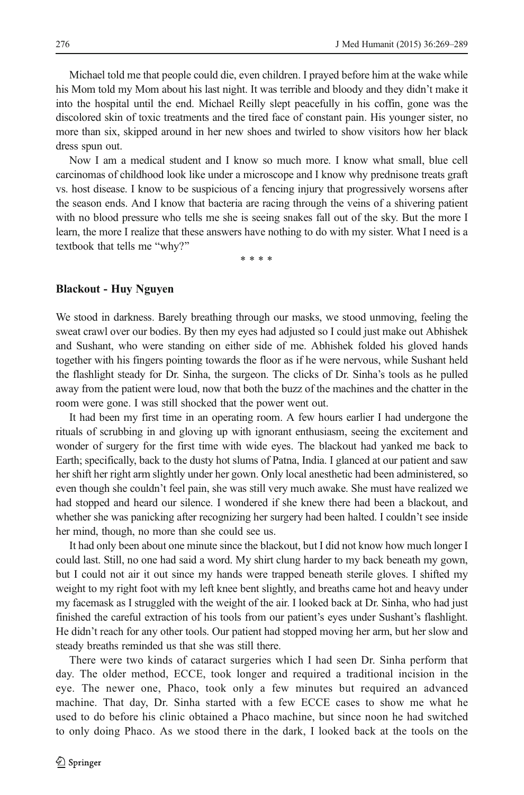Michael told me that people could die, even children. I prayed before him at the wake while his Mom told my Mom about his last night. It was terrible and bloody and they didn't make it into the hospital until the end. Michael Reilly slept peacefully in his coffin, gone was the discolored skin of toxic treatments and the tired face of constant pain. His younger sister, no more than six, skipped around in her new shoes and twirled to show visitors how her black dress spun out.

Now I am a medical student and I know so much more. I know what small, blue cell carcinomas of childhood look like under a microscope and I know why prednisone treats graft vs. host disease. I know to be suspicious of a fencing injury that progressively worsens after the season ends. And I know that bacteria are racing through the veins of a shivering patient with no blood pressure who tells me she is seeing snakes fall out of the sky. But the more I learn, the more I realize that these answers have nothing to do with my sister. What I need is a textbook that tells me "why?"

\*\*\*\*

#### Blackout - Huy Nguyen

We stood in darkness. Barely breathing through our masks, we stood unmoving, feeling the sweat crawl over our bodies. By then my eyes had adjusted so I could just make out Abhishek and Sushant, who were standing on either side of me. Abhishek folded his gloved hands together with his fingers pointing towards the floor as if he were nervous, while Sushant held the flashlight steady for Dr. Sinha, the surgeon. The clicks of Dr. Sinha's tools as he pulled away from the patient were loud, now that both the buzz of the machines and the chatter in the room were gone. I was still shocked that the power went out.

It had been my first time in an operating room. A few hours earlier I had undergone the rituals of scrubbing in and gloving up with ignorant enthusiasm, seeing the excitement and wonder of surgery for the first time with wide eyes. The blackout had yanked me back to Earth; specifically, back to the dusty hot slums of Patna, India. I glanced at our patient and saw her shift her right arm slightly under her gown. Only local anesthetic had been administered, so even though she couldn't feel pain, she was still very much awake. She must have realized we had stopped and heard our silence. I wondered if she knew there had been a blackout, and whether she was panicking after recognizing her surgery had been halted. I couldn't see inside her mind, though, no more than she could see us.

It had only been about one minute since the blackout, but I did not know how much longer I could last. Still, no one had said a word. My shirt clung harder to my back beneath my gown, but I could not air it out since my hands were trapped beneath sterile gloves. I shifted my weight to my right foot with my left knee bent slightly, and breaths came hot and heavy under my facemask as I struggled with the weight of the air. I looked back at Dr. Sinha, who had just finished the careful extraction of his tools from our patient's eyes under Sushant's flashlight. He didn't reach for any other tools. Our patient had stopped moving her arm, but her slow and steady breaths reminded us that she was still there.

There were two kinds of cataract surgeries which I had seen Dr. Sinha perform that day. The older method, ECCE, took longer and required a traditional incision in the eye. The newer one, Phaco, took only a few minutes but required an advanced machine. That day, Dr. Sinha started with a few ECCE cases to show me what he used to do before his clinic obtained a Phaco machine, but since noon he had switched to only doing Phaco. As we stood there in the dark, I looked back at the tools on the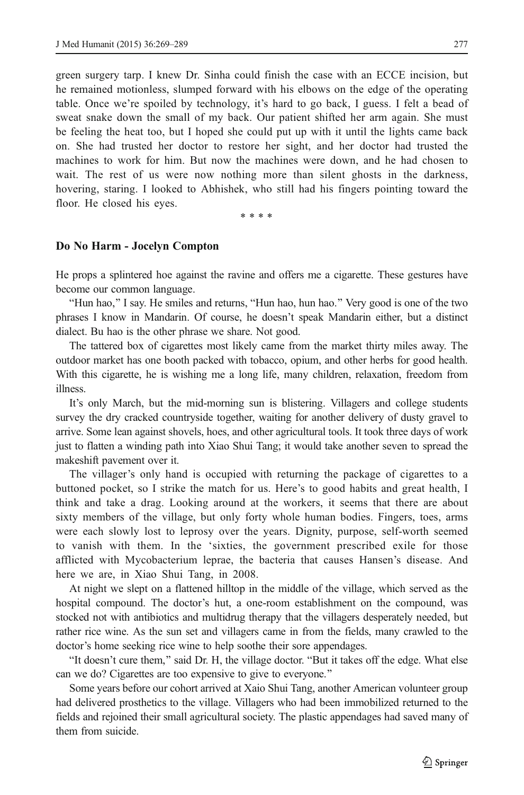green surgery tarp. I knew Dr. Sinha could finish the case with an ECCE incision, but he remained motionless, slumped forward with his elbows on the edge of the operating table. Once we're spoiled by technology, it's hard to go back, I guess. I felt a bead of sweat snake down the small of my back. Our patient shifted her arm again. She must be feeling the heat too, but I hoped she could put up with it until the lights came back on. She had trusted her doctor to restore her sight, and her doctor had trusted the machines to work for him. But now the machines were down, and he had chosen to wait. The rest of us were now nothing more than silent ghosts in the darkness, hovering, staring. I looked to Abhishek, who still had his fingers pointing toward the floor. He closed his eyes.

\*\*\*\*

#### Do No Harm - Jocelyn Compton

He props a splintered hoe against the ravine and offers me a cigarette. These gestures have become our common language.

"Hun hao," I say. He smiles and returns, "Hun hao, hun hao." Very good is one of the two phrases I know in Mandarin. Of course, he doesn't speak Mandarin either, but a distinct dialect. Bu hao is the other phrase we share. Not good.

The tattered box of cigarettes most likely came from the market thirty miles away. The outdoor market has one booth packed with tobacco, opium, and other herbs for good health. With this cigarette, he is wishing me a long life, many children, relaxation, freedom from illness.

It's only March, but the mid-morning sun is blistering. Villagers and college students survey the dry cracked countryside together, waiting for another delivery of dusty gravel to arrive. Some lean against shovels, hoes, and other agricultural tools. It took three days of work just to flatten a winding path into Xiao Shui Tang; it would take another seven to spread the makeshift pavement over it.

The villager's only hand is occupied with returning the package of cigarettes to a buttoned pocket, so I strike the match for us. Here's to good habits and great health, I think and take a drag. Looking around at the workers, it seems that there are about sixty members of the village, but only forty whole human bodies. Fingers, toes, arms were each slowly lost to leprosy over the years. Dignity, purpose, self-worth seemed to vanish with them. In the 'sixties, the government prescribed exile for those afflicted with Mycobacterium leprae, the bacteria that causes Hansen's disease. And here we are, in Xiao Shui Tang, in 2008.

At night we slept on a flattened hilltop in the middle of the village, which served as the hospital compound. The doctor's hut, a one-room establishment on the compound, was stocked not with antibiotics and multidrug therapy that the villagers desperately needed, but rather rice wine. As the sun set and villagers came in from the fields, many crawled to the doctor's home seeking rice wine to help soothe their sore appendages.

"It doesn't cure them," said Dr. H, the village doctor. "But it takes off the edge. What else can we do? Cigarettes are too expensive to give to everyone."

Some years before our cohort arrived at Xaio Shui Tang, another American volunteer group had delivered prosthetics to the village. Villagers who had been immobilized returned to the fields and rejoined their small agricultural society. The plastic appendages had saved many of them from suicide.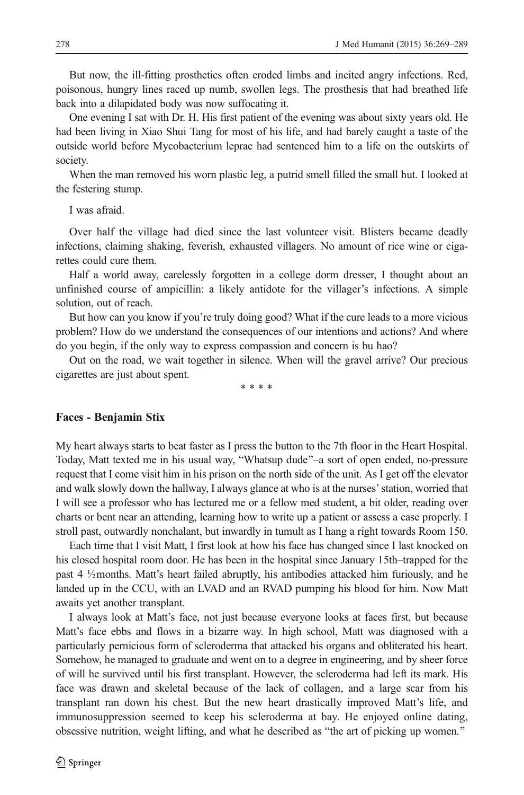But now, the ill-fitting prosthetics often eroded limbs and incited angry infections. Red, poisonous, hungry lines raced up numb, swollen legs. The prosthesis that had breathed life back into a dilapidated body was now suffocating it.

One evening I sat with Dr. H. His first patient of the evening was about sixty years old. He had been living in Xiao Shui Tang for most of his life, and had barely caught a taste of the outside world before Mycobacterium leprae had sentenced him to a life on the outskirts of society.

When the man removed his worn plastic leg, a putrid smell filled the small hut. I looked at the festering stump.

I was afraid.

Over half the village had died since the last volunteer visit. Blisters became deadly infections, claiming shaking, feverish, exhausted villagers. No amount of rice wine or cigarettes could cure them.

Half a world away, carelessly forgotten in a college dorm dresser, I thought about an unfinished course of ampicillin: a likely antidote for the villager's infections. A simple solution, out of reach.

But how can you know if you're truly doing good? What if the cure leads to a more vicious problem? How do we understand the consequences of our intentions and actions? And where do you begin, if the only way to express compassion and concern is bu hao?

Out on the road, we wait together in silence. When will the gravel arrive? Our precious cigarettes are just about spent.

\*\*\*\*

#### Faces - Benjamin Stix

My heart always starts to beat faster as I press the button to the 7th floor in the Heart Hospital. Today, Matt texted me in his usual way, "Whatsup dude"-a sort of open ended, no-pressure request that I come visit him in his prison on the north side of the unit. As I get off the elevator and walk slowly down the hallway, I always glance at who is at the nurses'station, worried that I will see a professor who has lectured me or a fellow med student, a bit older, reading over charts or bent near an attending, learning how to write up a patient or assess a case properly. I stroll past, outwardly nonchalant, but inwardly in tumult as I hang a right towards Room 150.

Each time that I visit Matt, I first look at how his face has changed since I last knocked on his closed hospital room door. He has been in the hospital since January 15th–trapped for the past 4 ½months. Matt's heart failed abruptly, his antibodies attacked him furiously, and he landed up in the CCU, with an LVAD and an RVAD pumping his blood for him. Now Matt awaits yet another transplant.

I always look at Matt's face, not just because everyone looks at faces first, but because Matt's face ebbs and flows in a bizarre way. In high school, Matt was diagnosed with a particularly pernicious form of scleroderma that attacked his organs and obliterated his heart. Somehow, he managed to graduate and went on to a degree in engineering, and by sheer force of will he survived until his first transplant. However, the scleroderma had left its mark. His face was drawn and skeletal because of the lack of collagen, and a large scar from his transplant ran down his chest. But the new heart drastically improved Matt's life, and immunosuppression seemed to keep his scleroderma at bay. He enjoyed online dating, obsessive nutrition, weight lifting, and what he described as "the art of picking up women."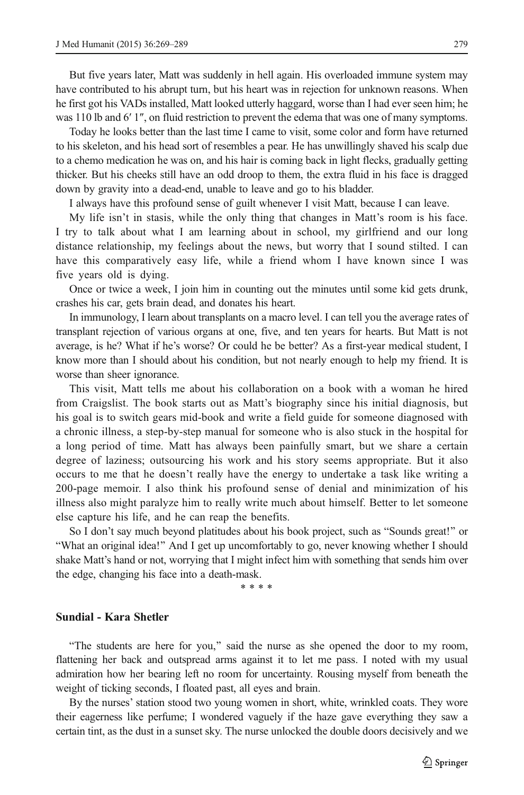But five years later, Matt was suddenly in hell again. His overloaded immune system may have contributed to his abrupt turn, but his heart was in rejection for unknown reasons. When he first got his VADs installed, Matt looked utterly haggard, worse than I had ever seen him; he was 110 lb and 6' 1", on fluid restriction to prevent the edema that was one of many symptoms.

Today he looks better than the last time I came to visit, some color and form have returned to his skeleton, and his head sort of resembles a pear. He has unwillingly shaved his scalp due to a chemo medication he was on, and his hair is coming back in light flecks, gradually getting thicker. But his cheeks still have an odd droop to them, the extra fluid in his face is dragged down by gravity into a dead-end, unable to leave and go to his bladder.

I always have this profound sense of guilt whenever I visit Matt, because I can leave.

My life isn't in stasis, while the only thing that changes in Matt's room is his face. I try to talk about what I am learning about in school, my girlfriend and our long distance relationship, my feelings about the news, but worry that I sound stilted. I can have this comparatively easy life, while a friend whom I have known since I was five years old is dying.

Once or twice a week, I join him in counting out the minutes until some kid gets drunk, crashes his car, gets brain dead, and donates his heart.

In immunology, I learn about transplants on a macro level. I can tell you the average rates of transplant rejection of various organs at one, five, and ten years for hearts. But Matt is not average, is he? What if he's worse? Or could he be better? As a first-year medical student, I know more than I should about his condition, but not nearly enough to help my friend. It is worse than sheer ignorance.

This visit, Matt tells me about his collaboration on a book with a woman he hired from Craigslist. The book starts out as Matt's biography since his initial diagnosis, but his goal is to switch gears mid-book and write a field guide for someone diagnosed with a chronic illness, a step-by-step manual for someone who is also stuck in the hospital for a long period of time. Matt has always been painfully smart, but we share a certain degree of laziness; outsourcing his work and his story seems appropriate. But it also occurs to me that he doesn't really have the energy to undertake a task like writing a 200-page memoir. I also think his profound sense of denial and minimization of his illness also might paralyze him to really write much about himself. Better to let someone else capture his life, and he can reap the benefits.

So I don't say much beyond platitudes about his book project, such as "Sounds great!" or "What an original idea!" And I get up uncomfortably to go, never knowing whether I should shake Matt's hand or not, worrying that I might infect him with something that sends him over the edge, changing his face into a death-mask.

\*\*\*\*

#### Sundial - Kara Shetler

"The students are here for you," said the nurse as she opened the door to my room, flattening her back and outspread arms against it to let me pass. I noted with my usual admiration how her bearing left no room for uncertainty. Rousing myself from beneath the weight of ticking seconds, I floated past, all eyes and brain.

By the nurses' station stood two young women in short, white, wrinkled coats. They wore their eagerness like perfume; I wondered vaguely if the haze gave everything they saw a certain tint, as the dust in a sunset sky. The nurse unlocked the double doors decisively and we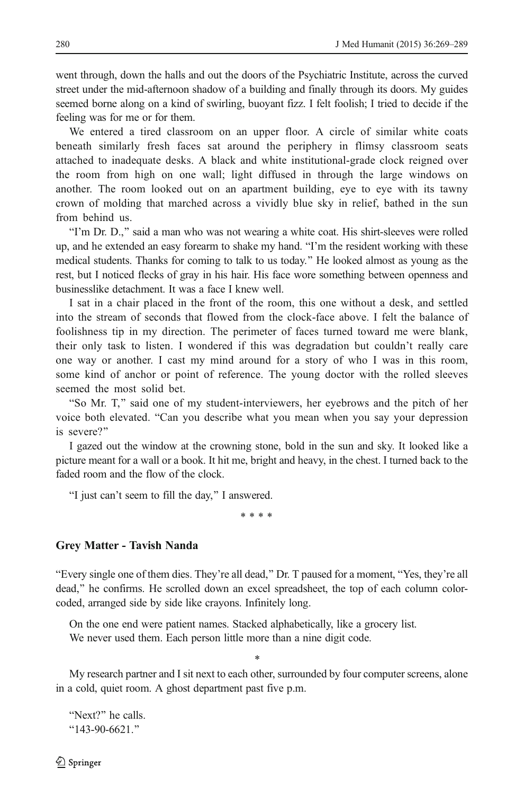went through, down the halls and out the doors of the Psychiatric Institute, across the curved street under the mid-afternoon shadow of a building and finally through its doors. My guides seemed borne along on a kind of swirling, buoyant fizz. I felt foolish; I tried to decide if the feeling was for me or for them.

We entered a tired classroom on an upper floor. A circle of similar white coats beneath similarly fresh faces sat around the periphery in flimsy classroom seats attached to inadequate desks. A black and white institutional-grade clock reigned over the room from high on one wall; light diffused in through the large windows on another. The room looked out on an apartment building, eye to eye with its tawny crown of molding that marched across a vividly blue sky in relief, bathed in the sun from behind us.

"I'm Dr. D.," said a man who was not wearing a white coat. His shirt-sleeves were rolled up, and he extended an easy forearm to shake my hand. "I'm the resident working with these medical students. Thanks for coming to talk to us today." He looked almost as young as the rest, but I noticed flecks of gray in his hair. His face wore something between openness and businesslike detachment. It was a face I knew well.

I sat in a chair placed in the front of the room, this one without a desk, and settled into the stream of seconds that flowed from the clock-face above. I felt the balance of foolishness tip in my direction. The perimeter of faces turned toward me were blank, their only task to listen. I wondered if this was degradation but couldn't really care one way or another. I cast my mind around for a story of who I was in this room, some kind of anchor or point of reference. The young doctor with the rolled sleeves seemed the most solid bet.

"So Mr. T," said one of my student-interviewers, her eyebrows and the pitch of her voice both elevated. "Can you describe what you mean when you say your depression is severe?"

I gazed out the window at the crowning stone, bold in the sun and sky. It looked like a picture meant for a wall or a book. It hit me, bright and heavy, in the chest. I turned back to the faded room and the flow of the clock.

"I just can't seem to fill the day," I answered.

\*\*\*\*

#### Grey Matter - Tavish Nanda

"Every single one of them dies. They're all dead," Dr. T paused for a moment, "Yes, they're all dead," he confirms. He scrolled down an excel spreadsheet, the top of each column colorcoded, arranged side by side like crayons. Infinitely long.

On the one end were patient names. Stacked alphabetically, like a grocery list. We never used them. Each person little more than a nine digit code.

\* My research partner and I sit next to each other, surrounded by four computer screens, alone in a cold, quiet room. A ghost department past five p.m.

"Next?" he calls.  $"143-90-6621."$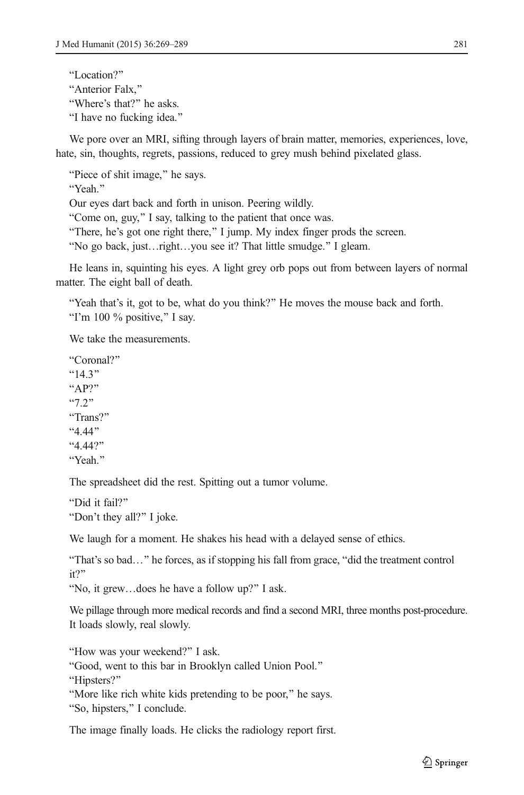"Location?" "Anterior Falx." "Where's that?" he asks. "I have no fucking idea."

We pore over an MRI, sifting through layers of brain matter, memories, experiences, love, hate, sin, thoughts, regrets, passions, reduced to grey mush behind pixelated glass.

"Piece of shit image," he says. "Yeah" Our eyes dart back and forth in unison. Peering wildly. "Come on, guy," I say, talking to the patient that once was. "There, he's got one right there," I jump. My index finger prods the screen. "No go back, just...right...you see it? That little smudge." I gleam.

He leans in, squinting his eyes. A light grey orb pops out from between layers of normal matter. The eight ball of death.

"Yeah that's it, got to be, what do you think?" He moves the mouse back and forth. "I'm  $100\%$  positive," I say.

We take the measurements.

"Coronal?"  $"14.3"$ " $AP$ ?"  $47.2$ " "Trans?"  $44.44$  $44.44$ ?" "Yeah."

The spreadsheet did the rest. Spitting out a tumor volume.

"Did it fail?" "Don't they all?" I joke.

We laugh for a moment. He shakes his head with a delayed sense of ethics.

"That's so bad..." he forces, as if stopping his fall from grace, "did the treatment control it?"

"No, it grew...does he have a follow up?" I ask.

We pillage through more medical records and find a second MRI, three months post-procedure. It loads slowly, real slowly.

"How was your weekend?" I ask. "Good, went to this bar in Brooklyn called Union Pool."

"Hipsters?"

"More like rich white kids pretending to be poor," he says. "So, hipsters," I conclude.

The image finally loads. He clicks the radiology report first.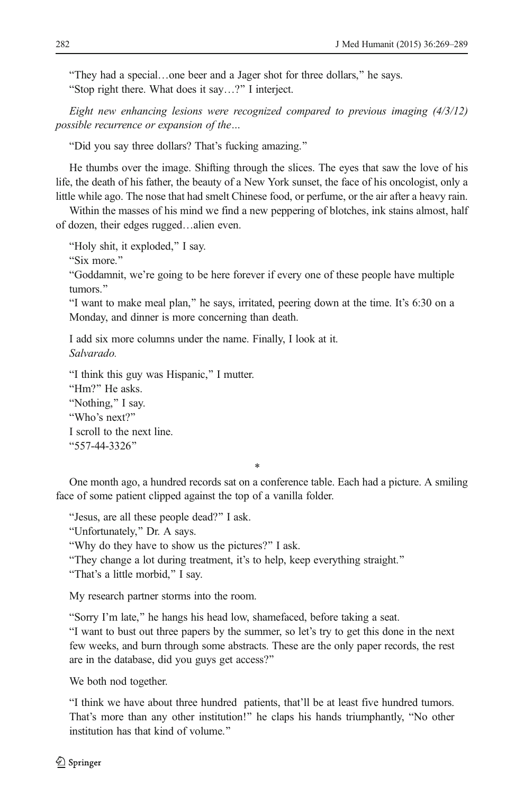"They had a special...one beer and a Jager shot for three dollars," he says. "Stop right there. What does it say...?" I interject.

Eight new enhancing lesions were recognized compared to previous imaging (4/3/12) possible recurrence or expansion of the…

"Did you say three dollars? That's fucking amazing."

He thumbs over the image. Shifting through the slices. The eyes that saw the love of his life, the death of his father, the beauty of a New York sunset, the face of his oncologist, only a little while ago. The nose that had smelt Chinese food, or perfume, or the air after a heavy rain.

Within the masses of his mind we find a new peppering of blotches, ink stains almost, half of dozen, their edges rugged…alien even.

"Holy shit, it exploded," I say.

"Six more."

BGoddamnit, we're going to be here forever if every one of these people have multiple tumors."

BI want to make meal plan,^ he says, irritated, peering down at the time. It's 6:30 on a Monday, and dinner is more concerning than death.

I add six more columns under the name. Finally, I look at it. Salvarado.

"I think this guy was Hispanic," I mutter. "Hm?" He asks. "Nothing," I say. "Who's next?" I scroll to the next line. "557-44-3326"

\*

One month ago, a hundred records sat on a conference table. Each had a picture. A smiling face of some patient clipped against the top of a vanilla folder.

"Jesus, are all these people dead?" I ask.

"Unfortunately," Dr. A says.

"Why do they have to show us the pictures?" I ask.

"They change a lot during treatment, it's to help, keep everything straight."

"That's a little morbid," I say.

My research partner storms into the room.

"Sorry I'm late," he hangs his head low, shamefaced, before taking a seat.

BI want to bust out three papers by the summer, so let's try to get this done in the next few weeks, and burn through some abstracts. These are the only paper records, the rest are in the database, did you guys get access?^

We both nod together.

BI think we have about three hundred patients, that'll be at least five hundred tumors. That's more than any other institution!" he claps his hands triumphantly, "No other institution has that kind of volume."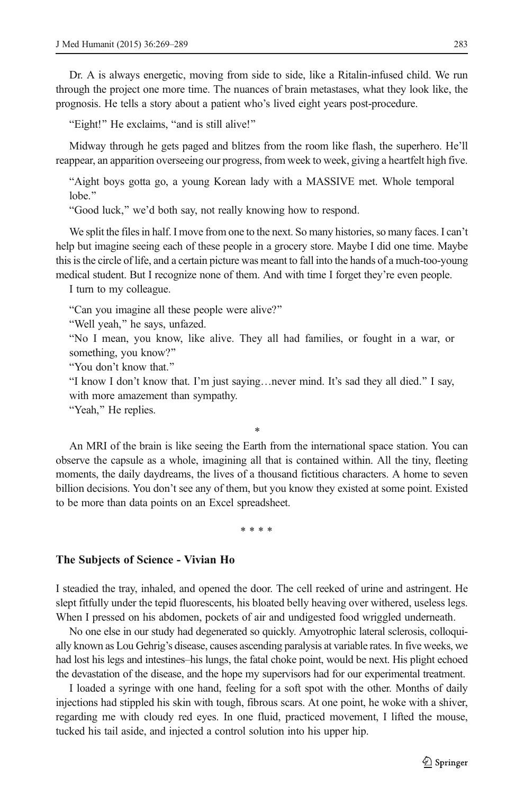Dr. A is always energetic, moving from side to side, like a Ritalin-infused child. We run through the project one more time. The nuances of brain metastases, what they look like, the prognosis. He tells a story about a patient who's lived eight years post-procedure.

"Eight!" He exclaims, "and is still alive!"

Midway through he gets paged and blitzes from the room like flash, the superhero. He'll reappear, an apparition overseeing our progress, from week to week, giving a heartfelt high five.

"Aight boys gotta go, a young Korean lady with a MASSIVE met. Whole temporal  $l$ obe $\cdot$ 

"Good luck," we'd both say, not really knowing how to respond.

We split the files in half. I move from one to the next. So many histories, so many faces. I can't help but imagine seeing each of these people in a grocery store. Maybe I did one time. Maybe this is the circle of life, and a certain picture was meant to fall into the hands of a much-too-young medical student. But I recognize none of them. And with time I forget they're even people.

I turn to my colleague.

"Can you imagine all these people were alive?"

"Well yeah," he says, unfazed.

"No I mean, you know, like alive. They all had families, or fought in a war, or something, you know?"

"You don't know that."

"I know I don't know that. I'm just saying... never mind. It's sad they all died." I say, with more amazement than sympathy.

"Yeah," He replies.

An MRI of the brain is like seeing the Earth from the international space station. You can observe the capsule as a whole, imagining all that is contained within. All the tiny, fleeting moments, the daily daydreams, the lives of a thousand fictitious characters. A home to seven billion decisions. You don't see any of them, but you know they existed at some point. Existed to be more than data points on an Excel spreadsheet.

\*

\*\*\*\*

# The Subjects of Science - Vivian Ho

I steadied the tray, inhaled, and opened the door. The cell reeked of urine and astringent. He slept fitfully under the tepid fluorescents, his bloated belly heaving over withered, useless legs. When I pressed on his abdomen, pockets of air and undigested food wriggled underneath.

No one else in our study had degenerated so quickly. Amyotrophic lateral sclerosis, colloquially known as Lou Gehrig's disease, causes ascending paralysis at variable rates. In five weeks, we had lost his legs and intestines–his lungs, the fatal choke point, would be next. His plight echoed the devastation of the disease, and the hope my supervisors had for our experimental treatment.

I loaded a syringe with one hand, feeling for a soft spot with the other. Months of daily injections had stippled his skin with tough, fibrous scars. At one point, he woke with a shiver, regarding me with cloudy red eyes. In one fluid, practiced movement, I lifted the mouse, tucked his tail aside, and injected a control solution into his upper hip.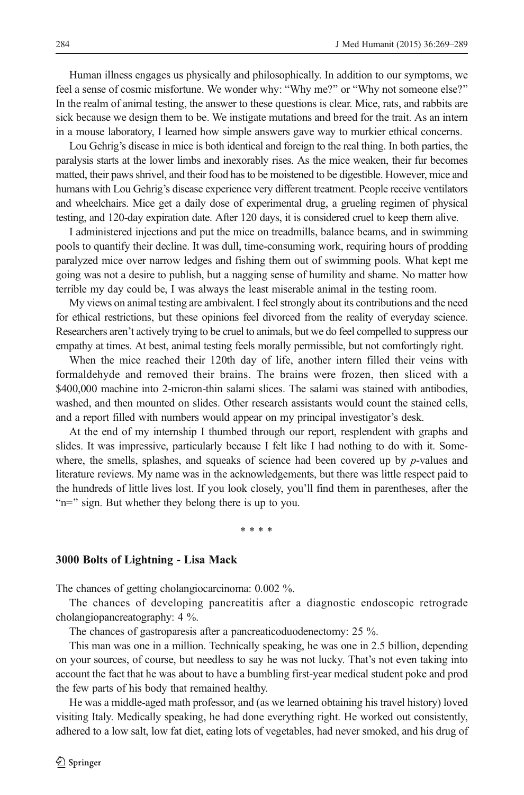Human illness engages us physically and philosophically. In addition to our symptoms, we feel a sense of cosmic misfortune. We wonder why: "Why me?" or "Why not someone else?" In the realm of animal testing, the answer to these questions is clear. Mice, rats, and rabbits are sick because we design them to be. We instigate mutations and breed for the trait. As an intern in a mouse laboratory, I learned how simple answers gave way to murkier ethical concerns.

Lou Gehrig's disease in mice is both identical and foreign to the real thing. In both parties, the paralysis starts at the lower limbs and inexorably rises. As the mice weaken, their fur becomes matted, their paws shrivel, and their food has to be moistened to be digestible. However, mice and humans with Lou Gehrig's disease experience very different treatment. People receive ventilators and wheelchairs. Mice get a daily dose of experimental drug, a grueling regimen of physical testing, and 120-day expiration date. After 120 days, it is considered cruel to keep them alive.

I administered injections and put the mice on treadmills, balance beams, and in swimming pools to quantify their decline. It was dull, time-consuming work, requiring hours of prodding paralyzed mice over narrow ledges and fishing them out of swimming pools. What kept me going was not a desire to publish, but a nagging sense of humility and shame. No matter how terrible my day could be, I was always the least miserable animal in the testing room.

My views on animal testing are ambivalent. I feel strongly about its contributions and the need for ethical restrictions, but these opinions feel divorced from the reality of everyday science. Researchers aren't actively trying to be cruel to animals, but we do feel compelled to suppress our empathy at times. At best, animal testing feels morally permissible, but not comfortingly right.

When the mice reached their 120th day of life, another intern filled their veins with formaldehyde and removed their brains. The brains were frozen, then sliced with a \$400,000 machine into 2-micron-thin salami slices. The salami was stained with antibodies, washed, and then mounted on slides. Other research assistants would count the stained cells, and a report filled with numbers would appear on my principal investigator's desk.

At the end of my internship I thumbed through our report, resplendent with graphs and slides. It was impressive, particularly because I felt like I had nothing to do with it. Somewhere, the smells, splashes, and squeaks of science had been covered up by *p*-values and literature reviews. My name was in the acknowledgements, but there was little respect paid to the hundreds of little lives lost. If you look closely, you'll find them in parentheses, after the " $n =$ " sign. But whether they belong there is up to you.

\*\*\*\*

#### 3000 Bolts of Lightning - Lisa Mack

The chances of getting cholangiocarcinoma: 0.002 %.

The chances of developing pancreatitis after a diagnostic endoscopic retrograde cholangiopancreatography: 4 %.

The chances of gastroparesis after a pancreaticoduodenectomy: 25 %.

This man was one in a million. Technically speaking, he was one in 2.5 billion, depending on your sources, of course, but needless to say he was not lucky. That's not even taking into account the fact that he was about to have a bumbling first-year medical student poke and prod the few parts of his body that remained healthy.

He was a middle-aged math professor, and (as we learned obtaining his travel history) loved visiting Italy. Medically speaking, he had done everything right. He worked out consistently, adhered to a low salt, low fat diet, eating lots of vegetables, had never smoked, and his drug of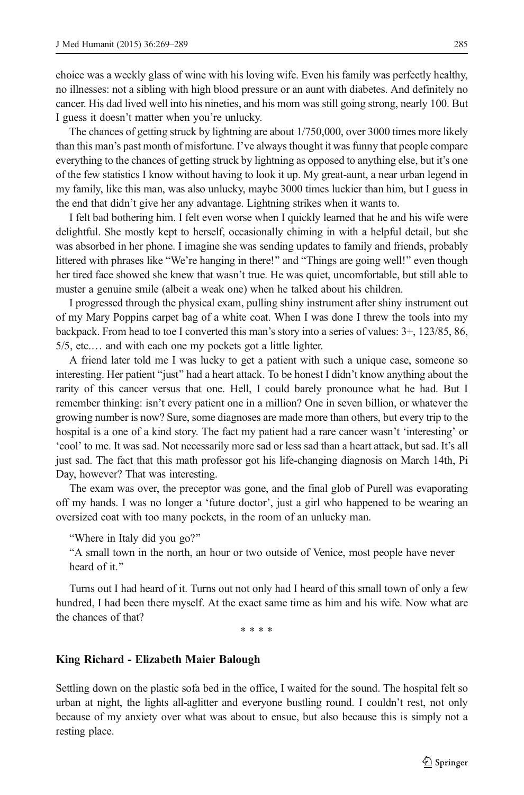choice was a weekly glass of wine with his loving wife. Even his family was perfectly healthy, no illnesses: not a sibling with high blood pressure or an aunt with diabetes. And definitely no cancer. His dad lived well into his nineties, and his mom was still going strong, nearly 100. But I guess it doesn't matter when you're unlucky.

The chances of getting struck by lightning are about 1/750,000, over 3000 times more likely than this man's past month of misfortune. I've always thought it was funny that people compare everything to the chances of getting struck by lightning as opposed to anything else, but it's one of the few statistics I know without having to look it up. My great-aunt, a near urban legend in my family, like this man, was also unlucky, maybe 3000 times luckier than him, but I guess in the end that didn't give her any advantage. Lightning strikes when it wants to.

I felt bad bothering him. I felt even worse when I quickly learned that he and his wife were delightful. She mostly kept to herself, occasionally chiming in with a helpful detail, but she was absorbed in her phone. I imagine she was sending updates to family and friends, probably littered with phrases like "We're hanging in there!" and "Things are going well!" even though her tired face showed she knew that wasn't true. He was quiet, uncomfortable, but still able to muster a genuine smile (albeit a weak one) when he talked about his children.

I progressed through the physical exam, pulling shiny instrument after shiny instrument out of my Mary Poppins carpet bag of a white coat. When I was done I threw the tools into my backpack. From head to toe I converted this man's story into a series of values: 3+, 123/85, 86, 5/5, etc.… and with each one my pockets got a little lighter.

A friend later told me I was lucky to get a patient with such a unique case, someone so interesting. Her patient "just" had a heart attack. To be honest I didn't know anything about the rarity of this cancer versus that one. Hell, I could barely pronounce what he had. But I remember thinking: isn't every patient one in a million? One in seven billion, or whatever the growing number is now? Sure, some diagnoses are made more than others, but every trip to the hospital is a one of a kind story. The fact my patient had a rare cancer wasn't 'interesting' or 'cool' to me. It was sad. Not necessarily more sad or less sad than a heart attack, but sad. It's all just sad. The fact that this math professor got his life-changing diagnosis on March 14th, Pi Day, however? That was interesting.

The exam was over, the preceptor was gone, and the final glob of Purell was evaporating off my hands. I was no longer a 'future doctor', just a girl who happened to be wearing an oversized coat with too many pockets, in the room of an unlucky man.

"Where in Italy did you go?"

A small town in the north, an hour or two outside of Venice, most people have never heard of it."

Turns out I had heard of it. Turns out not only had I heard of this small town of only a few hundred, I had been there myself. At the exact same time as him and his wife. Now what are the chances of that?

\*\*\*\*

# King Richard - Elizabeth Maier Balough

Settling down on the plastic sofa bed in the office, I waited for the sound. The hospital felt so urban at night, the lights all-aglitter and everyone bustling round. I couldn't rest, not only because of my anxiety over what was about to ensue, but also because this is simply not a resting place.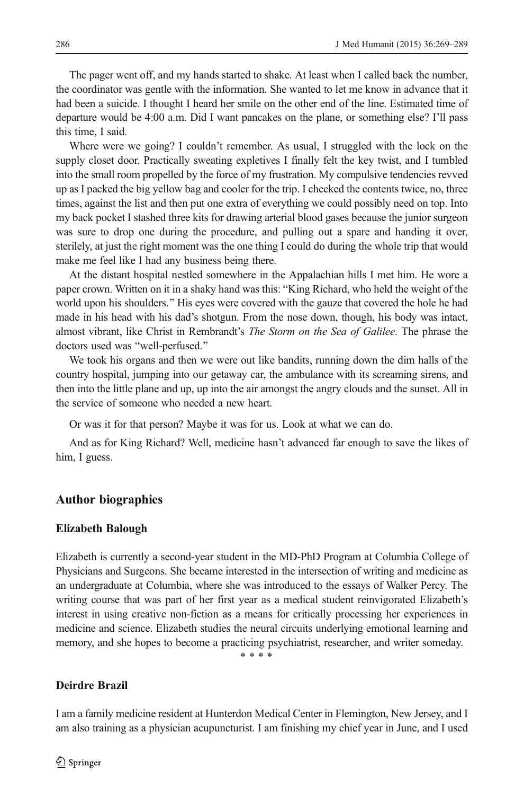The pager went off, and my hands started to shake. At least when I called back the number, the coordinator was gentle with the information. She wanted to let me know in advance that it had been a suicide. I thought I heard her smile on the other end of the line. Estimated time of departure would be 4:00 a.m. Did I want pancakes on the plane, or something else? I'll pass this time, I said.

Where were we going? I couldn't remember. As usual, I struggled with the lock on the supply closet door. Practically sweating expletives I finally felt the key twist, and I tumbled into the small room propelled by the force of my frustration. My compulsive tendencies revved up as I packed the big yellow bag and cooler for the trip. I checked the contents twice, no, three times, against the list and then put one extra of everything we could possibly need on top. Into my back pocket I stashed three kits for drawing arterial blood gases because the junior surgeon was sure to drop one during the procedure, and pulling out a spare and handing it over, sterilely, at just the right moment was the one thing I could do during the whole trip that would make me feel like I had any business being there.

At the distant hospital nestled somewhere in the Appalachian hills I met him. He wore a paper crown. Written on it in a shaky hand was this: "King Richard, who held the weight of the world upon his shoulders." His eyes were covered with the gauze that covered the hole he had made in his head with his dad's shotgun. From the nose down, though, his body was intact, almost vibrant, like Christ in Rembrandt's The Storm on the Sea of Galilee. The phrase the doctors used was "well-perfused."

We took his organs and then we were out like bandits, running down the dim halls of the country hospital, jumping into our getaway car, the ambulance with its screaming sirens, and then into the little plane and up, up into the air amongst the angry clouds and the sunset. All in the service of someone who needed a new heart.

Or was it for that person? Maybe it was for us. Look at what we can do.

And as for King Richard? Well, medicine hasn't advanced far enough to save the likes of him, I guess.

#### Author biographies

### Elizabeth Balough

Elizabeth is currently a second-year student in the MD-PhD Program at Columbia College of Physicians and Surgeons. She became interested in the intersection of writing and medicine as an undergraduate at Columbia, where she was introduced to the essays of Walker Percy. The writing course that was part of her first year as a medical student reinvigorated Elizabeth's interest in using creative non-fiction as a means for critically processing her experiences in medicine and science. Elizabeth studies the neural circuits underlying emotional learning and memory, and she hopes to become a practicing psychiatrist, researcher, and writer someday.

\*\*\*\*

# Deirdre Brazil

I am a family medicine resident at Hunterdon Medical Center in Flemington, New Jersey, and I am also training as a physician acupuncturist. I am finishing my chief year in June, and I used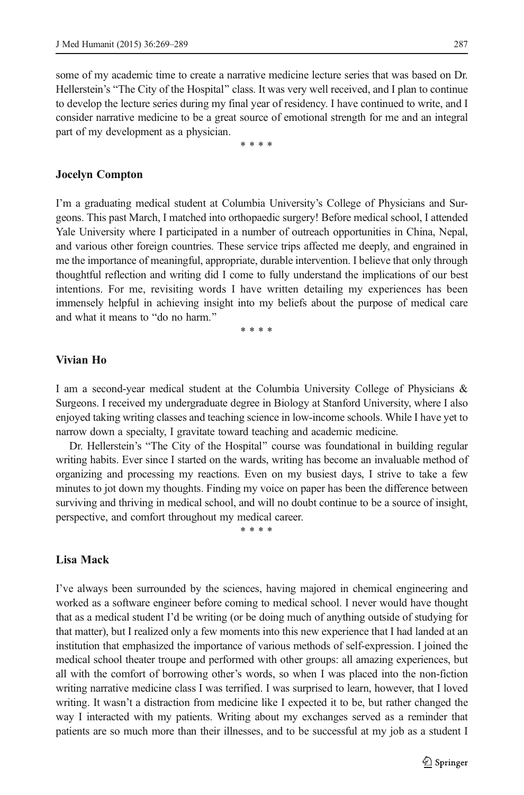some of my academic time to create a narrative medicine lecture series that was based on Dr. Hellerstein's "The City of the Hospital" class. It was very well received, and I plan to continue to develop the lecture series during my final year of residency. I have continued to write, and I consider narrative medicine to be a great source of emotional strength for me and an integral part of my development as a physician.

\*\*\*\*

# Jocelyn Compton

I'm a graduating medical student at Columbia University's College of Physicians and Surgeons. This past March, I matched into orthopaedic surgery! Before medical school, I attended Yale University where I participated in a number of outreach opportunities in China, Nepal, and various other foreign countries. These service trips affected me deeply, and engrained in me the importance of meaningful, appropriate, durable intervention. I believe that only through thoughtful reflection and writing did I come to fully understand the implications of our best intentions. For me, revisiting words I have written detailing my experiences has been immensely helpful in achieving insight into my beliefs about the purpose of medical care and what it means to "do no harm."

\*\*\*\*

#### Vivian Ho

I am a second-year medical student at the Columbia University College of Physicians & Surgeons. I received my undergraduate degree in Biology at Stanford University, where I also enjoyed taking writing classes and teaching science in low-income schools. While I have yet to narrow down a specialty, I gravitate toward teaching and academic medicine.

Dr. Hellerstein's "The City of the Hospital" course was foundational in building regular writing habits. Ever since I started on the wards, writing has become an invaluable method of organizing and processing my reactions. Even on my busiest days, I strive to take a few minutes to jot down my thoughts. Finding my voice on paper has been the difference between surviving and thriving in medical school, and will no doubt continue to be a source of insight, perspective, and comfort throughout my medical career.

\*\*\*\*

# Lisa Mack

I've always been surrounded by the sciences, having majored in chemical engineering and worked as a software engineer before coming to medical school. I never would have thought that as a medical student I'd be writing (or be doing much of anything outside of studying for that matter), but I realized only a few moments into this new experience that I had landed at an institution that emphasized the importance of various methods of self-expression. I joined the medical school theater troupe and performed with other groups: all amazing experiences, but all with the comfort of borrowing other's words, so when I was placed into the non-fiction writing narrative medicine class I was terrified. I was surprised to learn, however, that I loved writing. It wasn't a distraction from medicine like I expected it to be, but rather changed the way I interacted with my patients. Writing about my exchanges served as a reminder that patients are so much more than their illnesses, and to be successful at my job as a student I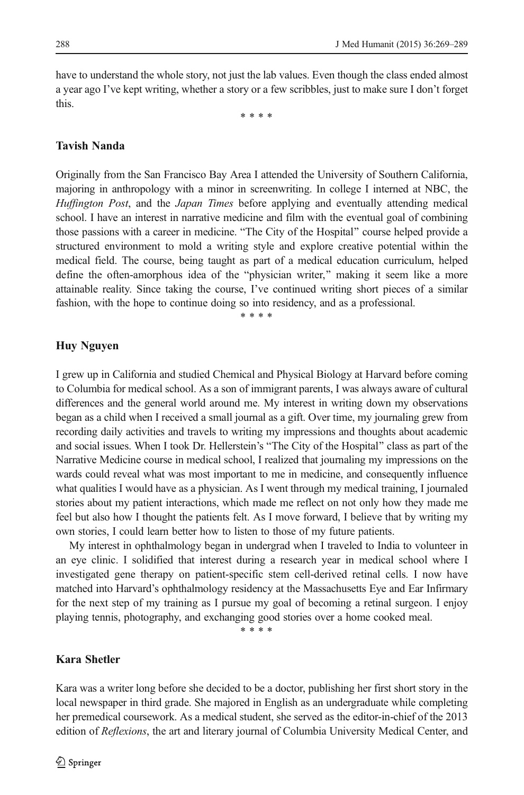have to understand the whole story, not just the lab values. Even though the class ended almost a year ago I've kept writing, whether a story or a few scribbles, just to make sure I don't forget this.

\*\*\*\*

# Tavish Nanda

Originally from the San Francisco Bay Area I attended the University of Southern California, majoring in anthropology with a minor in screenwriting. In college I interned at NBC, the Huffington Post, and the Japan Times before applying and eventually attending medical school. I have an interest in narrative medicine and film with the eventual goal of combining those passions with a career in medicine. "The City of the Hospital" course helped provide a structured environment to mold a writing style and explore creative potential within the medical field. The course, being taught as part of a medical education curriculum, helped define the often-amorphous idea of the "physician writer," making it seem like a more attainable reality. Since taking the course, I've continued writing short pieces of a similar fashion, with the hope to continue doing so into residency, and as a professional.

\*\*\*\*

#### Huy Nguyen

I grew up in California and studied Chemical and Physical Biology at Harvard before coming to Columbia for medical school. As a son of immigrant parents, I was always aware of cultural differences and the general world around me. My interest in writing down my observations began as a child when I received a small journal as a gift. Over time, my journaling grew from recording daily activities and travels to writing my impressions and thoughts about academic and social issues. When I took Dr. Hellerstein's "The City of the Hospital" class as part of the Narrative Medicine course in medical school, I realized that journaling my impressions on the wards could reveal what was most important to me in medicine, and consequently influence what qualities I would have as a physician. As I went through my medical training, I journaled stories about my patient interactions, which made me reflect on not only how they made me feel but also how I thought the patients felt. As I move forward, I believe that by writing my own stories, I could learn better how to listen to those of my future patients.

My interest in ophthalmology began in undergrad when I traveled to India to volunteer in an eye clinic. I solidified that interest during a research year in medical school where I investigated gene therapy on patient-specific stem cell-derived retinal cells. I now have matched into Harvard's ophthalmology residency at the Massachusetts Eye and Ear Infirmary for the next step of my training as I pursue my goal of becoming a retinal surgeon. I enjoy playing tennis, photography, and exchanging good stories over a home cooked meal.

\*\*\*\*

# Kara Shetler

Kara was a writer long before she decided to be a doctor, publishing her first short story in the local newspaper in third grade. She majored in English as an undergraduate while completing her premedical coursework. As a medical student, she served as the editor-in-chief of the 2013 edition of Reflexions, the art and literary journal of Columbia University Medical Center, and